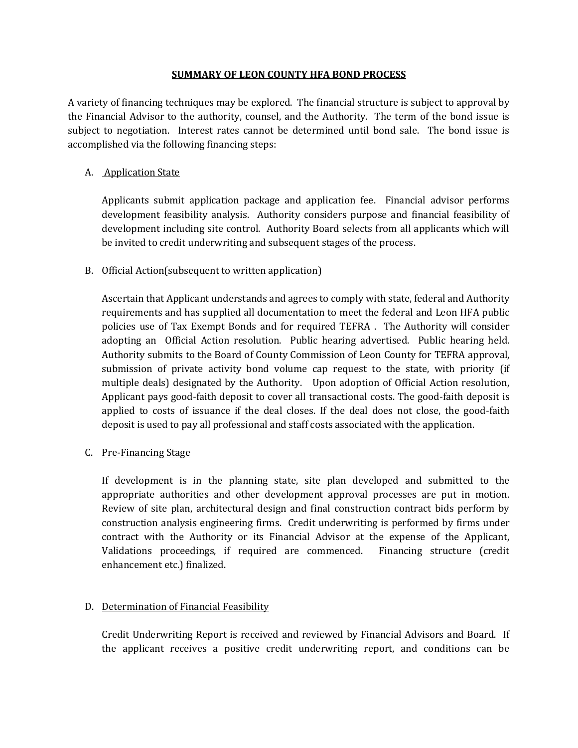#### **SUMMARY OF LEON COUNTY HFA BOND PROCESS**

A variety of financing techniques may be explored. The financial structure is subject to approval by the Financial Advisor to the authority, counsel, and the Authority. The term of the bond issue is subject to negotiation. Interest rates cannot be determined until bond sale. The bond issue is accomplished via the following financing steps:

### A. Application State

Applicants submit application package and application fee. Financial advisor performs development feasibility analysis. Authority considers purpose and financial feasibility of development including site control. Authority Board selects from all applicants which will be invited to credit underwriting and subsequent stages of the process.

### B. Official Action(subsequent to written application)

Ascertain that Applicant understands and agrees to comply with state, federal and Authority requirements and has supplied all documentation to meet the federal and Leon HFA public policies use of Tax Exempt Bonds and for required TEFRA . The Authority will consider adopting an Official Action resolution. Public hearing advertised. Public hearing held. Authority submits to the Board of County Commission of Leon County for TEFRA approval, submission of private activity bond volume cap request to the state, with priority (if multiple deals) designated by the Authority. Upon adoption of Official Action resolution, Applicant pays good-faith deposit to cover all transactional costs. The good-faith deposit is applied to costs of issuance if the deal closes. If the deal does not close, the good-faith deposit is used to pay all professional and staff costs associated with the application.

### C. Pre-Financing Stage

If development is in the planning state, site plan developed and submitted to the appropriate authorities and other development approval processes are put in motion. Review of site plan, architectural design and final construction contract bids perform by construction analysis engineering firms. Credit underwriting is performed by firms under contract with the Authority or its Financial Advisor at the expense of the Applicant, Validations proceedings, if required are commenced. Financing structure (credit enhancement etc.) finalized.

## D. Determination of Financial Feasibility

Credit Underwriting Report is received and reviewed by Financial Advisors and Board. If the applicant receives a positive credit underwriting report, and conditions can be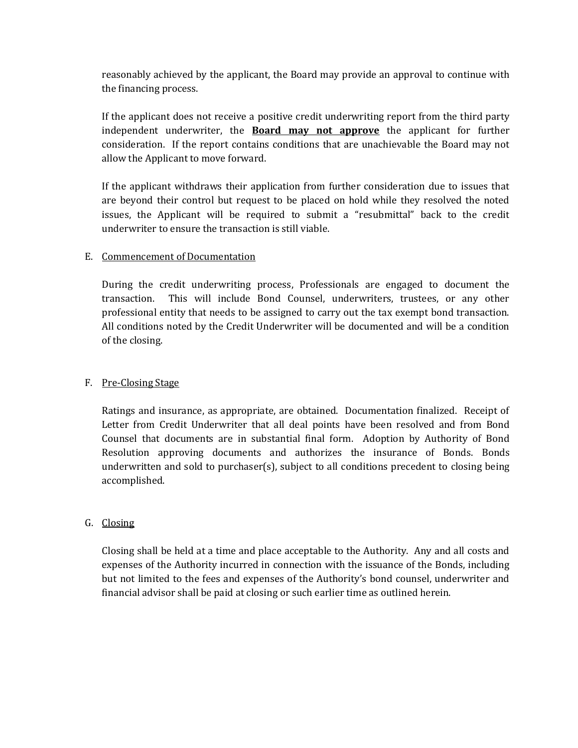reasonably achieved by the applicant, the Board may provide an approval to continue with the financing process.

If the applicant does not receive a positive credit underwriting report from the third party independent underwriter, the **Board may not approve** the applicant for further consideration. If the report contains conditions that are unachievable the Board may not allow the Applicant to move forward.

If the applicant withdraws their application from further consideration due to issues that are beyond their control but request to be placed on hold while they resolved the noted issues, the Applicant will be required to submit a "resubmittal" back to the credit underwriter to ensure the transaction is still viable.

#### E. Commencement of Documentation

During the credit underwriting process, Professionals are engaged to document the transaction. This will include Bond Counsel, underwriters, trustees, or any other professional entity that needs to be assigned to carry out the tax exempt bond transaction. All conditions noted by the Credit Underwriter will be documented and will be a condition of the closing.

### F. Pre-Closing Stage

Ratings and insurance, as appropriate, are obtained. Documentation finalized. Receipt of Letter from Credit Underwriter that all deal points have been resolved and from Bond Counsel that documents are in substantial final form. Adoption by Authority of Bond Resolution approving documents and authorizes the insurance of Bonds. Bonds underwritten and sold to purchaser(s), subject to all conditions precedent to closing being accomplished.

### G. Closing

Closing shall be held at a time and place acceptable to the Authority. Any and all costs and expenses of the Authority incurred in connection with the issuance of the Bonds, including but not limited to the fees and expenses of the Authority's bond counsel, underwriter and financial advisor shall be paid at closing or such earlier time as outlined herein.